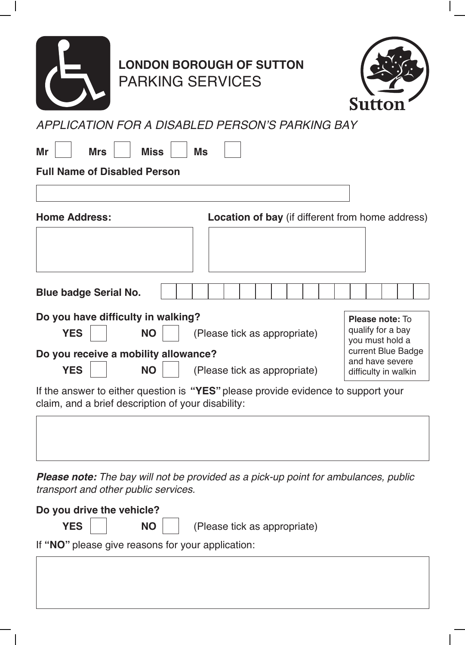

## **LONDON BOROUGH OF SUTTON** PARKING SERVICES



*APPLICATION FOR A DISABLED PERSON'S PARKING BAY*

| Mr<br><b>Mrs</b><br><b>Full Name of Disabled Person</b> | <b>Miss</b> | <b>Ms</b>                                                                         |
|---------------------------------------------------------|-------------|-----------------------------------------------------------------------------------|
| <b>Home Address:</b>                                    |             | <b>Location of bay</b> (if different from home address)                           |
|                                                         |             |                                                                                   |
| <b>Blue badge Serial No.</b>                            |             |                                                                                   |
| Do you have difficulty in walking?                      |             | Please note: To                                                                   |
| <b>YES</b>                                              | <b>NO</b>   | qualify for a bay<br>(Please tick as appropriate)<br>you must hold a              |
| Do you receive a mobility allowance?                    |             | current Blue Badge<br>and have severe                                             |
| <b>YES</b>                                              | <b>NO</b>   | (Please tick as appropriate)<br>difficulty in walkin                              |
| claim, and a brief description of your disability:      |             | If the answer to either question is "YES" please provide evidence to support your |
|                                                         |             |                                                                                   |

*Please note: The bay will not be provided as a pick-up point for ambulances, public transport and other public services.*

| Do you drive the vehicle?                         |  |                                                         |  |  |  |
|---------------------------------------------------|--|---------------------------------------------------------|--|--|--|
|                                                   |  | <b>YES</b>     <b>NO</b>   (Please tick as appropriate) |  |  |  |
| If "NO" please give reasons for your application: |  |                                                         |  |  |  |